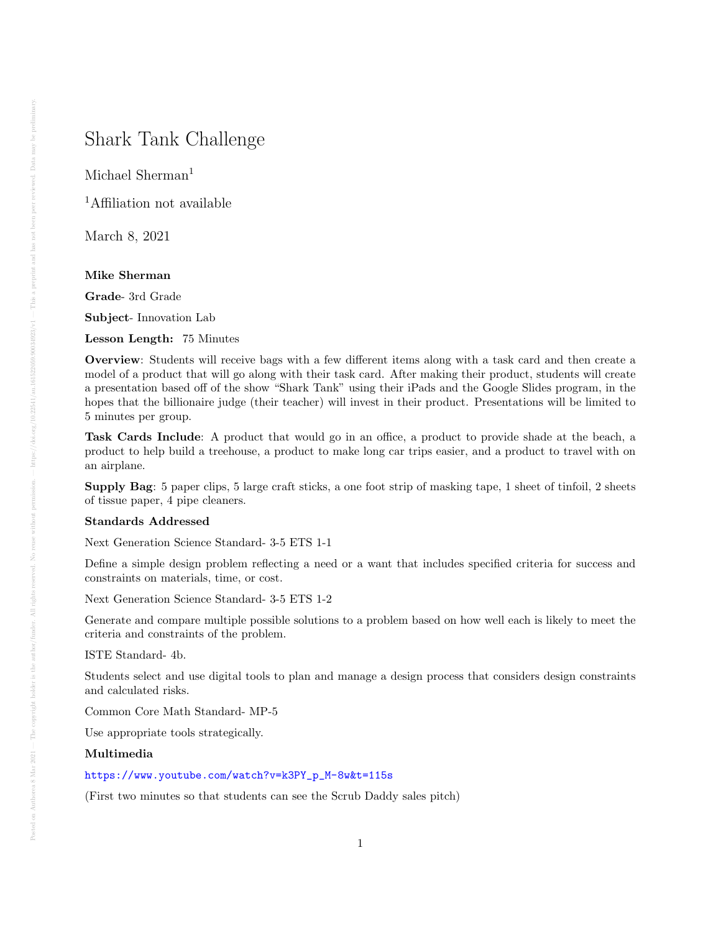# Shark Tank Challenge

Michael Sherman<sup>1</sup>

<sup>1</sup>Affiliation not available

March 8, 2021

## Mike Sherman

Grade- 3rd Grade

Subject- Innovation Lab

Lesson Length: 75 Minutes

Overview: Students will receive bags with a few different items along with a task card and then create a model of a product that will go along with their task card. After making their product, students will create a presentation based off of the show "Shark Tank" using their iPads and the Google Slides program, in the hopes that the billionaire judge (their teacher) will invest in their product. Presentations will be limited to 5 minutes per group.

Task Cards Include: A product that would go in an office, a product to provide shade at the beach, a product to help build a treehouse, a product to make long car trips easier, and a product to travel with on an airplane.

Supply Bag: 5 paper clips, 5 large craft sticks, a one foot strip of masking tape, 1 sheet of tinfoil, 2 sheets of tissue paper, 4 pipe cleaners.

## Standards Addressed

Next Generation Science Standard- 3-5 ETS 1-1

Define a simple design problem reflecting a need or a want that includes specified criteria for success and constraints on materials, time, or cost.

Next Generation Science Standard- 3-5 ETS 1-2

Generate and compare multiple possible solutions to a problem based on how well each is likely to meet the criteria and constraints of the problem.

ISTE Standard- 4b.

Students select and use digital tools to plan and manage a design process that considers design constraints and calculated risks.

Common Core Math Standard- MP-5

Use appropriate tools strategically.

## Multimedia

## [https://www.youtube.com/watch?v=k3PY\\_p\\_M-8w&t=115s](https://www.youtube.com/watch?v=k3PY_p_M-8w&t=115s)

(First two minutes so that students can see the Scrub Daddy sales pitch)